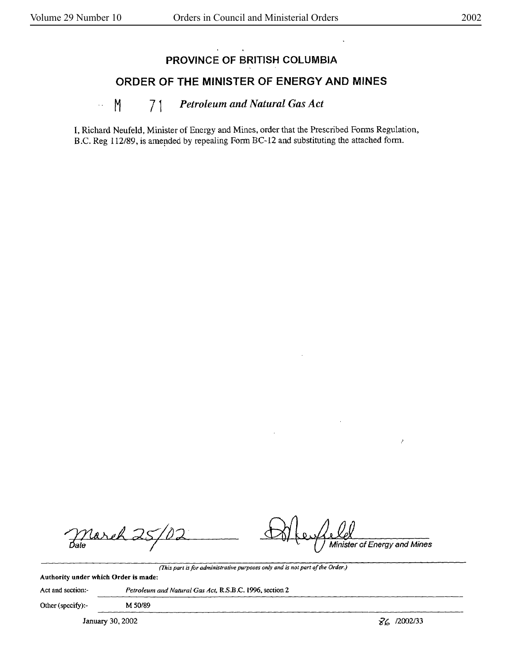## **PROVINCE OF BRITISH COLUMBIA**

## **ORDER OF THE MINISTER OF ENERGY AND MINES**

## .. M 71 *Petroleum and Natural Gas Act*

I, Richard Neufeld, Minister of Energy and Mines, order that the Prescribed Forms Regulation, B.C. Reg 112/89, is amended by repealing Form BC-12 and substituting the attached form.

asek

Minister of Energy and Mines

*(This part is for administrative purposes on(v and is not part of the Order.)*  **Authority under which Order is made:** 

Act and section:• *Petroleum and Natural Gas Act,* R.S.B.C. 1996, section 2

Other (specify):- M 50/89

January 30, 2002  $\sqrt{6}$  /2002/33

Ź